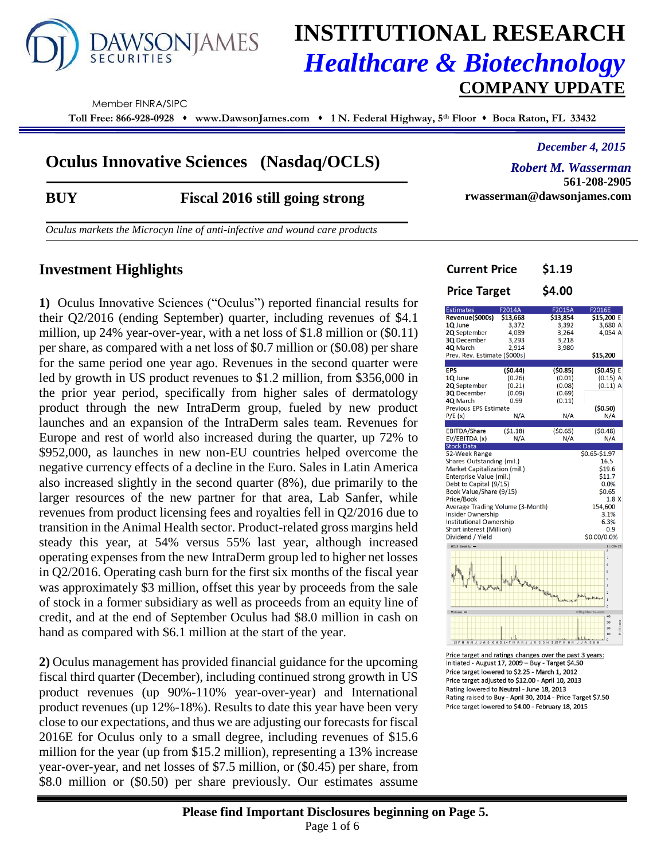

# **INSTITUTIONAL RESEARCH** *Healthcare & Biotechnology* **COMPANY UPDATE**

Member FINRA/SIPC

**Toll Free: 866-928-0928 www.DawsonJames.com 1 N. Federal Highway, 5 th Floor Boca Raton, FL 33432**

## **Oculus Innovative Sciences (Nasdaq/OCLS)**

*December 4, 2015*

*Robert M. Wasserman* **561-208-2905 rwasserman@dawsonjames.com**

**BUY Fiscal 2016 still going strong**

*Oculus markets the Microcyn line of anti-infective and wound care products*

## **Investment Highlights**

**1)** Oculus Innovative Sciences ("Oculus") reported financial results for their Q2/2016 (ending September) quarter, including revenues of \$4.1 million, up 24% year-over-year, with a net loss of \$1.8 million or (\$0.11) per share, as compared with a net loss of \$0.7 million or (\$0.08) per share for the same period one year ago. Revenues in the second quarter were led by growth in US product revenues to \$1.2 million, from \$356,000 in the prior year period, specifically from higher sales of dermatology product through the new IntraDerm group, fueled by new product launches and an expansion of the IntraDerm sales team. Revenues for Europe and rest of world also increased during the quarter, up 72% to \$952,000, as launches in new non-EU countries helped overcome the negative currency effects of a decline in the Euro. Sales in Latin America also increased slightly in the second quarter (8%), due primarily to the larger resources of the new partner for that area, Lab Sanfer, while revenues from product licensing fees and royalties fell in Q2/2016 due to transition in the Animal Health sector. Product-related gross margins held steady this year, at 54% versus 55% last year, although increased operating expenses from the new IntraDerm group led to higher net losses in Q2/2016. Operating cash burn for the first six months of the fiscal year was approximately \$3 million, offset this year by proceeds from the sale of stock in a former subsidiary as well as proceeds from an equity line of credit, and at the end of September Oculus had \$8.0 million in cash on hand as compared with \$6.1 million at the start of the year.

**2)** Oculus management has provided financial guidance for the upcoming fiscal third quarter (December), including continued strong growth in US product revenues (up 90%-110% year-over-year) and International product revenues (up 12%-18%). Results to date this year have been very close to our expectations, and thus we are adjusting our forecasts for fiscal 2016E for Oculus only to a small degree, including revenues of \$15.6 million for the year (up from \$15.2 million), representing a 13% increase year-over-year, and net losses of \$7.5 million, or (\$0.45) per share, from \$8.0 million or (\$0.50) per share previously. Our estimates assume

| Current Price                                           |                                             | \$1.19                              |                                      |
|---------------------------------------------------------|---------------------------------------------|-------------------------------------|--------------------------------------|
| <b>Price Target</b>                                     |                                             | \$4.00                              |                                      |
| <b>Estimates</b>                                        | F2014A                                      | F2015A                              | F2016E                               |
| Revenue(\$000s)                                         | \$13,668                                    | \$13,854                            | \$15,200 E                           |
| 1Q June                                                 | 3,372                                       | 3,392                               | 3,680 A                              |
| 2Q September                                            | 4,089                                       | 3,264                               | 4,054 A                              |
| 3Q December                                             | 3.293                                       | 3,218                               |                                      |
| 4Q March                                                | 2.914                                       | 3,980                               |                                      |
| Prev. Rev. Estimate (\$000s)                            |                                             |                                     | \$15,200                             |
|                                                         |                                             |                                     |                                      |
| <b>EPS</b>                                              | (50.44)                                     | (50.85)                             | (50.45) E                            |
| 1Q June                                                 | (0.26)                                      | (0.01)                              | (0.15) A                             |
| 2Q September                                            | (0.21)                                      | (0.08)                              | $(0.11)$ A                           |
| 3Q December                                             | (0.09)                                      | (0.69)                              |                                      |
| 4Q March                                                | 0.99                                        | (0.11)                              |                                      |
| Previous EPS Estimate                                   |                                             |                                     | (50.50)                              |
| P/E(x)                                                  | N/A                                         | N/A                                 | N/A                                  |
|                                                         |                                             |                                     |                                      |
| EBITDA/Share                                            | (51.18)                                     | (50.65)                             | (50.48)                              |
| EV/EBITDA (x)                                           | N/A                                         | N/A                                 | N/A                                  |
| <b>Stock Data</b>                                       |                                             |                                     |                                      |
| 52-Week Range                                           |                                             |                                     | \$0.65-\$1.97                        |
| Shares Outstanding (mil.)                               |                                             |                                     | 16.5                                 |
| Market Capitalization (mil.)                            |                                             |                                     | \$19.6                               |
| Enterprise Value (mil.)                                 |                                             |                                     | \$11.7                               |
| Debt to Capital (9/15)                                  |                                             |                                     | 0.0%                                 |
| Book Value/Share (9/15)                                 |                                             |                                     | \$0.65                               |
| Price/Book                                              |                                             |                                     | 1.8X                                 |
| Average Trading Volume (3-Month)                        |                                             |                                     | 154,600                              |
| Insider Ownership                                       |                                             |                                     | 3.1%                                 |
| Institutional Ownership                                 |                                             |                                     | 6.3%                                 |
| Short interest (Million)                                |                                             |                                     | 0.9                                  |
| Dividend / Yield                                        |                                             |                                     | \$0.00/0.0%                          |
| OCLS Heekly -                                           |                                             |                                     | 11/29/15                             |
|                                                         |                                             |                                     |                                      |
|                                                         |                                             |                                     | 7                                    |
|                                                         |                                             |                                     | é,                                   |
|                                                         |                                             |                                     | ×,                                   |
|                                                         | http://t <sup>allu</sup> s.html .html .html |                                     | 4<br>$\mathbf{a}$                    |
| The Harding                                             |                                             |                                     | $\overline{a}$                       |
|                                                         |                                             |                                     | $b$ when<br>$19 - 1$<br>$\mathbf{1}$ |
|                                                         |                                             |                                     | o                                    |
| Volume -                                                |                                             |                                     | OBIgCharts.com<br>40                 |
|                                                         |                                             |                                     | 20                                   |
|                                                         |                                             |                                     | 11         ons<br>$\infty$           |
|                                                         |                                             |                                     | 10                                   |
| 13 F M A M J J A S ON D 14 F M A M J                    |                                             | $S$ O N<br><b>D15FM</b><br>J R<br>A | $\circ$<br>SON<br>J J R              |
| Price target and ratings changes over the past 3 years: |                                             |                                     |                                      |
|                                                         |                                             |                                     |                                      |

Initiated - August 17, 2009 - Buy - Target \$4.50 Price target lowered to \$2.25 - March 1, 2012 Price target adjusted to \$12.00 - April 10, 2013 Rating lowered to Neutral - June 18, 2013 Rating raised to Buy - April 30, 2014 - Price Target \$7.50 Price target lowered to \$4.00 - February 18, 2015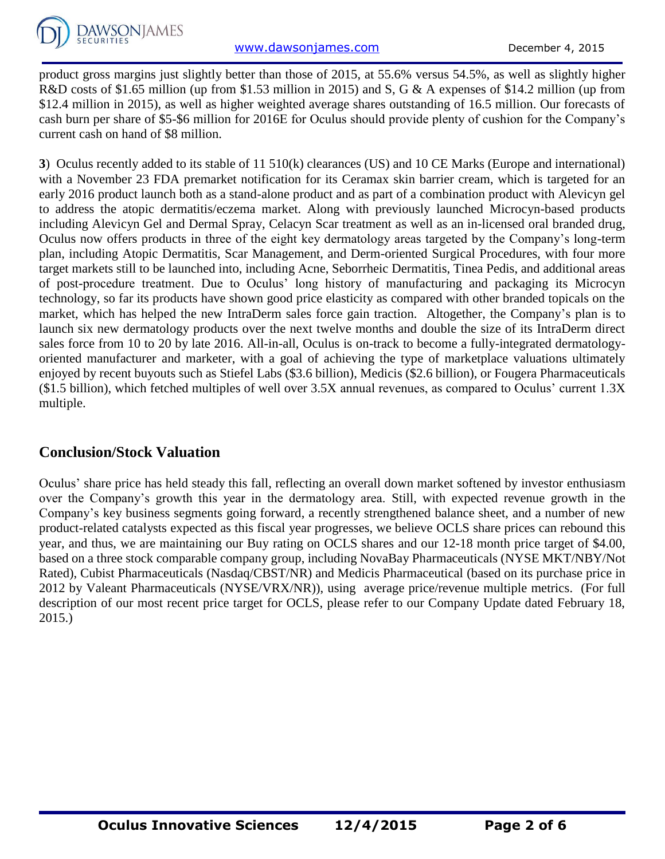product gross margins just slightly better than those of 2015, at 55.6% versus 54.5%, as well as slightly higher R&D costs of \$1.65 million (up from \$1.53 million in 2015) and S, G & A expenses of \$14.2 million (up from \$12.4 million in 2015), as well as higher weighted average shares outstanding of 16.5 million. Our forecasts of cash burn per share of \$5-\$6 million for 2016E for Oculus should provide plenty of cushion for the Company's current cash on hand of \$8 million.

**3**) Oculus recently added to its stable of 11 510(k) clearances (US) and 10 CE Marks (Europe and international) with a November 23 FDA premarket notification for its Ceramax skin barrier cream, which is targeted for an early 2016 product launch both as a stand-alone product and as part of a combination product with Alevicyn gel to address the atopic dermatitis/eczema market. Along with previously launched Microcyn-based products including Alevicyn Gel and Dermal Spray, Celacyn Scar treatment as well as an in-licensed oral branded drug, Oculus now offers products in three of the eight key dermatology areas targeted by the Company's long-term plan, including Atopic Dermatitis, Scar Management, and Derm-oriented Surgical Procedures, with four more target markets still to be launched into, including Acne, Seborrheic Dermatitis, Tinea Pedis, and additional areas of post-procedure treatment. Due to Oculus' long history of manufacturing and packaging its Microcyn technology, so far its products have shown good price elasticity as compared with other branded topicals on the market, which has helped the new IntraDerm sales force gain traction. Altogether, the Company's plan is to launch six new dermatology products over the next twelve months and double the size of its IntraDerm direct sales force from 10 to 20 by late 2016. All-in-all, Oculus is on-track to become a fully-integrated dermatologyoriented manufacturer and marketer, with a goal of achieving the type of marketplace valuations ultimately enjoyed by recent buyouts such as Stiefel Labs (\$3.6 billion), Medicis (\$2.6 billion), or Fougera Pharmaceuticals (\$1.5 billion), which fetched multiples of well over 3.5X annual revenues, as compared to Oculus' current 1.3X multiple.

# **Conclusion/Stock Valuation**

Oculus' share price has held steady this fall, reflecting an overall down market softened by investor enthusiasm over the Company's growth this year in the dermatology area. Still, with expected revenue growth in the Company's key business segments going forward, a recently strengthened balance sheet, and a number of new product-related catalysts expected as this fiscal year progresses, we believe OCLS share prices can rebound this year, and thus, we are maintaining our Buy rating on OCLS shares and our 12-18 month price target of \$4.00, based on a three stock comparable company group, including NovaBay Pharmaceuticals (NYSE MKT/NBY/Not Rated), Cubist Pharmaceuticals (Nasdaq/CBST/NR) and Medicis Pharmaceutical (based on its purchase price in 2012 by Valeant Pharmaceuticals (NYSE/VRX/NR)), using average price/revenue multiple metrics. (For full description of our most recent price target for OCLS, please refer to our Company Update dated February 18, 2015.)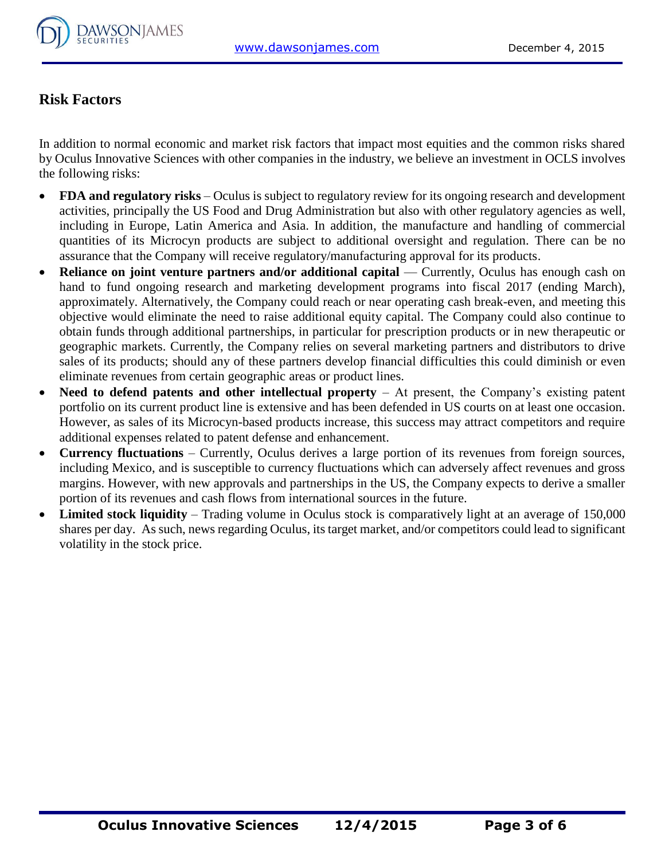

# **Risk Factors**

In addition to normal economic and market risk factors that impact most equities and the common risks shared by Oculus Innovative Sciences with other companies in the industry, we believe an investment in OCLS involves the following risks:

- **FDA and regulatory risks** Oculus is subject to regulatory review for its ongoing research and development activities, principally the US Food and Drug Administration but also with other regulatory agencies as well, including in Europe, Latin America and Asia. In addition, the manufacture and handling of commercial quantities of its Microcyn products are subject to additional oversight and regulation. There can be no assurance that the Company will receive regulatory/manufacturing approval for its products.
- **Reliance on joint venture partners and/or additional capital** Currently, Oculus has enough cash on hand to fund ongoing research and marketing development programs into fiscal 2017 (ending March), approximately. Alternatively, the Company could reach or near operating cash break-even, and meeting this objective would eliminate the need to raise additional equity capital. The Company could also continue to obtain funds through additional partnerships, in particular for prescription products or in new therapeutic or geographic markets. Currently, the Company relies on several marketing partners and distributors to drive sales of its products; should any of these partners develop financial difficulties this could diminish or even eliminate revenues from certain geographic areas or product lines.
- Need to defend patents and other intellectual property At present, the Company's existing patent portfolio on its current product line is extensive and has been defended in US courts on at least one occasion. However, as sales of its Microcyn-based products increase, this success may attract competitors and require additional expenses related to patent defense and enhancement.
- **Currency fluctuations**  Currently, Oculus derives a large portion of its revenues from foreign sources, including Mexico, and is susceptible to currency fluctuations which can adversely affect revenues and gross margins. However, with new approvals and partnerships in the US, the Company expects to derive a smaller portion of its revenues and cash flows from international sources in the future.
- Limited stock liquidity Trading volume in Oculus stock is comparatively light at an average of 150,000 shares per day. As such, news regarding Oculus, its target market, and/or competitors could lead to significant volatility in the stock price.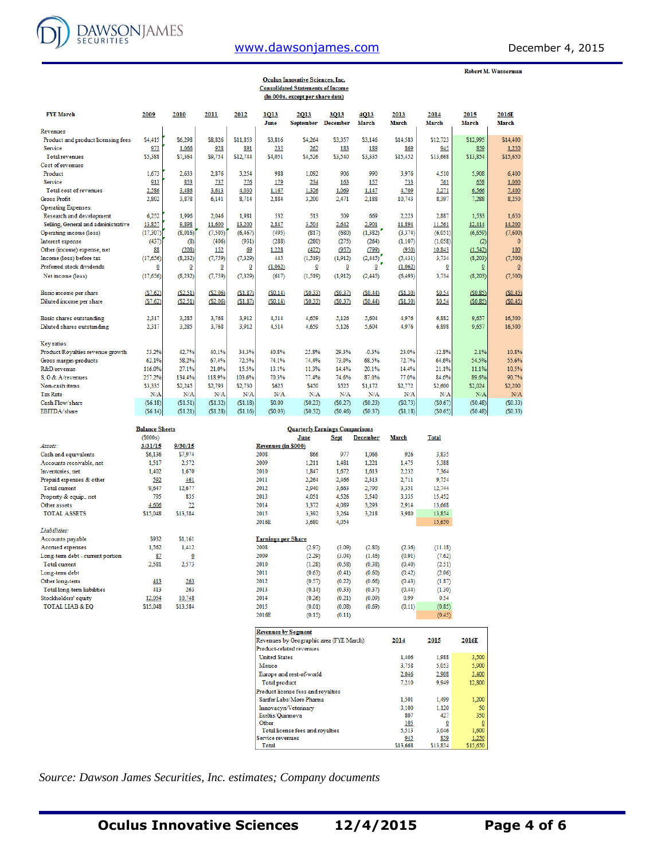

## [www.dawsonjames.com](http://www.dawsonjames.com/) December 4, 2015

Robert M. Wasserman

|                                     |          |                         |                         |          |              | <b>Oculus Innovative Sciences, Inc.</b><br><b>Consolidated Statements of Income</b><br>(In 000s, except per share data) |                         |               |                      |                         |                      |                       |
|-------------------------------------|----------|-------------------------|-------------------------|----------|--------------|-------------------------------------------------------------------------------------------------------------------------|-------------------------|---------------|----------------------|-------------------------|----------------------|-----------------------|
| <b>FYE March</b>                    | 2009     | 2010                    | 2011                    | 2012     | 1013<br>June | 2013<br>September                                                                                                       | 3013<br><b>December</b> | 4013<br>March | 2013<br><b>March</b> | 2014<br><b>March</b>    | 2015<br><b>March</b> | 2016E<br><b>March</b> |
| Revenues                            |          |                         |                         |          |              |                                                                                                                         |                         |               |                      |                         |                      |                       |
| Product and product licensing fees  | \$4,415  | \$6,298                 | \$8,826                 | \$11.853 | \$3,816      | \$4.264                                                                                                                 | \$3,357                 | \$3,146       | \$14,583             | \$12,723                | \$12,995             | \$14,400              |
| Service                             | 973      | 1.066                   | 928                     | 891      | 235          | 262                                                                                                                     | 183                     | 189           | 869                  | 945                     | 859                  | 1,250                 |
| Total revenues                      | \$5,388  | \$7,364                 | \$9,754                 | \$12,744 | \$4,051      | \$4,526                                                                                                                 | \$3,540                 | \$3,335       | \$15,452             | \$13,668                | \$13,854             | \$15,650              |
| Cost of revenues                    |          |                         |                         |          |              |                                                                                                                         |                         |               |                      |                         |                      |                       |
| Product                             | 1.673    | 2.633                   | 2.876                   | 3.254    | 988          | 1.092                                                                                                                   | 906                     | 990           | 3,976                | 4,510                   | 5.908                | 6,400                 |
| Service                             | 913      | 853                     | 737                     | 776      | 179          | 234                                                                                                                     | 163                     | 157           | 733                  | 761                     | 658                  | 1,000                 |
| Total cost of revenues              | 2.586    | 3.486                   | 3.613                   | 4,030    | 1,167        | 1.326                                                                                                                   | 1.069                   | 1,147         | 4,709                | 5.271                   | 6,566                | 7,400                 |
| <b>Gross Profit</b>                 | 2.802    | 3,878                   | 6.141                   | 8.714    | 2,884        | 3,200                                                                                                                   | 2,471                   | 2,188         | 10,743               | 8.397                   | 7,288                | 8,250                 |
| <b>Operating Expenses:</b>          |          |                         |                         |          |              |                                                                                                                         |                         |               |                      |                         |                      |                       |
| Research and development            | 6.252    | 1.996                   | 2.046                   | 1.981    | 532          | 513                                                                                                                     | 509                     | 669           | 2,223                | 2.887                   | 1.533                | 1.650                 |
| Selling, General and administrative | 13,857   | 9,898                   | 11.600                  | 13,200   | 2,847        | 3,504                                                                                                                   | 2.642                   | 2,901         | 11,894               | 11.561                  | 12.414               | 14,200                |
| Operating income (loss)             | (17.307) | (8,016)                 | (7,505)                 | (6, 467) | (495)        | (817)                                                                                                                   | (680)                   | (1,382)       | (3, 374)             | (6,051)                 | (6, 659)             | (7,600)               |
| Interest expense                    | (437)    | (8)                     | (406)                   | (931)    | (288)        | (280)                                                                                                                   | (275)                   | (264)         | (1, 107)             | (1,058)                 | (2)                  | $\mathbf{0}$          |
| Other (income) expense, net         | 88       | (208)                   | 152                     | 69       | 1.228        | (422)                                                                                                                   | (957)                   | (799)         | (950)                | 10,843                  | (1, 542)             | 100                   |
| Income (loss) before tax            | (17,656) | (8, 232)                | (7, 759)                | (7, 329) | 445          | (1.519)                                                                                                                 | (1, 912)                | (2,445)       | (5, 431)             | 3.734                   | (8, 203)             | (7,500)               |
| Preferred stock dividends           | 0        | $\overline{\mathbf{0}}$ | $\overline{\mathbf{0}}$ | 0        | (1,062)      | $\overline{\mathbf{0}}$                                                                                                 | 0                       | 0             | (1.062)              | $\overline{\mathbf{0}}$ | $\underline{0}$      | $\overline{0}$        |
| Net income (loss)                   | (17,656) | (8, 232)                | (7, 759)                | (7, 329) | (617)        | (1, 519)                                                                                                                | (1, 912)                | (2, 445)      | (6, 493)             | 3,734                   | (8, 203)             | (7,500)               |
| Basic income per share              | (S7.62)  | (S2.51)                 | ( \$2.06)               | (S1.87)  | (S0.14)      | (S0.33)                                                                                                                 | (S0.37)                 | (S0.44)       | (\$1.30)             | \$0.54                  | (50.85)              | (S0.45)               |
| Diluted income per share            | (S7.62)  | (S2.51)                 | (S2.06)                 | (S1.87)  | (S0.14)      | (S0.33)                                                                                                                 | (S0.37)                 | (S0.44)       | (S1.30)              | \$0.54                  | (S0.85)              | (S0.45)               |
| Basic shares outstanding            | 2.317    | 3.285                   | 3.768                   | 3.912    | 4,514        | 4.659                                                                                                                   | 5.126                   | 5.604         | 4,976                | 6.882                   | 9.657                | 16,500                |
| Diluted shares outstanding          | 2.317    | 3,285                   | 3.768                   | 3.912    | 4.514        | 4.659                                                                                                                   | 5.126                   | 5.604         | 4.976                | 6.898                   | 9.657                | 16,500                |
| Key ratios:                         |          |                         |                         |          |              |                                                                                                                         |                         |               |                      |                         |                      |                       |
| Product/Royalties revenue growth    | 53.2%    | 42.7%                   | 40.1%                   | 34.3%    | 40.8%        | 25.8%                                                                                                                   | 29.3%                   | $-0.3%$       | 23.0%                | $-12.8%$                | 2.1%                 | 10.8%                 |
| Gross margin-products               | 62.1%    | 58.2%                   | 67.4%                   | 72.5%    | 74.1%        | 74.4%                                                                                                                   | 73.0%                   | 68.5%         | 72.7%                | 64.6%                   | 54.5%                | 55.6%                 |
| R&D/revenue                         | 116.0%   | 27.1%                   | 21.0%                   | 15.5%    | 13.1%        | 11.3%                                                                                                                   | 14.4%                   | 20.1%         | 14.4%                | 21.1%                   | 11.1%                | 10.5%                 |
| S. G & A/revenues                   | 257.2%   | 134.4%                  | 118.9%                  | 103.6%   | 70.3%        | 77.4%                                                                                                                   | 74.6%                   | 87.0%         | 77.0%                | 84.6%                   | 89.6%                | 90.7%                 |
| Non-cash items                      | \$3,335  | \$2,245                 | \$2,793                 | \$2,730  | \$625        | \$450                                                                                                                   | \$525                   | \$1,172       | \$2,772              | \$2,600                 | \$2,024              | \$2,200               |
| <b>Tax Rate</b>                     | N/A      | N/A                     | N/A                     | N/A      | N/A          | N/A                                                                                                                     | N/A                     | N/A           | N/A                  | N/A                     | N/A                  | N/A                   |
| Cash Flow/share                     | (S6.18)  | (S1.51)                 | (S1.32)                 | (S1.18)  | \$0.00       | (S0.23)                                                                                                                 | (S0.27)                 | (S0.23)       | (S0.73)              | (S0.67)                 | (S0.48)              | (S0.33)               |
| EBITDA/share                        | (S6.14)  | (51.21)                 | (\$1.28)                | (S1.16)  | (50.03)      | (S0.32)                                                                                                                 | (S0.46)                 | (S0.37)       | (\$1.18)             | (S0.65)                 | (S0.48)              | (S0.33)               |

|                                  | <b>Balance Sheets</b> |          |       | <b>Quarterly Earnings Comparisons</b> |             |                 |              |              |
|----------------------------------|-----------------------|----------|-------|---------------------------------------|-------------|-----------------|--------------|--------------|
|                                  | (S000s)               |          |       | June                                  | <b>Sept</b> | <b>December</b> | <b>March</b> | <b>Total</b> |
| Assets:                          | 3/31/15               | 9/30/15  |       | Revenues (in \$000)                   |             |                 |              |              |
| Cash and equivalents             | \$6,136               | \$7,974  | 2008  | 866                                   | 977         | 1,066           | 926          | 3,835        |
| Accounts receivable, net         | 1,517                 | 2,572    | 2009  | 1,211                                 | 1.481       | 1,221           | 1,475        | 5,388        |
| Inventories, net                 | 1.402                 | 1,670    | 2010  | 1,847                                 | 1.672       | 1.613           | 2,232        | 7,364        |
| Prepaid expenses & other         | 592                   | 461      | 2011  | 2.264                                 | 2,466       | 2,313           | 2,711        | 9,754        |
| <b>Total current</b>             | 9,647                 | 12,677   | 2012  | 2,940                                 | 3,663       | 2,790           | 3,351        | 12,744       |
| Property & equip., net           | 795                   | 835      | 2013  | 4,051                                 | 4,526       | 3,540           | 3,335        | 15,452       |
| Other assets                     | 4,606                 | 72       | 2014  | 3.372                                 | 4.089       | 3,293           | 2,914        | 13,668       |
| <b>TOTAL ASSETS</b>              | \$15,048              | \$13,584 | 2015  | 3.392                                 | 3.264       | 3,218           | 3,980        | 13,854       |
|                                  |                       |          | 2016E | 3,680                                 | 4,054       |                 |              | 15,650       |
| Liabilities:                     |                       |          |       |                                       |             |                 |              |              |
| Accounts payable                 | \$932                 | \$1,161  |       | <b>Earnings per Share</b>             |             |                 |              |              |
| Accrued expenses                 | 1.562                 | 1.412    | 2008  | (2.97)                                | (3.09)      | (2.80)          | (2.36)       | (11.18)      |
| Long-term debt - current portion | 87                    | Ō        | 2009  | (2.29)                                | (3.04)      | (1.46)          | (0.91)       | (7.62)       |
| <b>Total current</b>             | 2,581                 | 2,573    | 2010  | (1.28)                                | (0.58)      | (0.38)          | (0.40)       | (2.51)       |
| Long-term debt                   |                       |          | 2011  | (0.63)                                | (0.41)      | (0.60)          | (0.42)       | (2.06)       |
| Other long-term                  | 413                   | 263      | 2012  | (0.57)                                | (0.22)      | (0.66)          | (0.43)       | (1.87)       |
| Total long-term liabilities      | 413                   | 263      | 2013  | (0.14)                                | (0.33)      | (0.37)          | (0.44)       | (1.30)       |
| Stockholders' equity             | 12,054                | 10,748   | 2014  | (0.26)                                | (0.21)      | (0.09)          | 0.99         | 0.54         |
| <b>TOTAL LIAB &amp; EO</b>       | \$15,048              | \$13,584 | 2015  | (0.01)                                | (0.08)      | (0.69)          | (0.11)       | (0.85)       |
|                                  |                       |          | 2016E | (0.15)                                | (0.11)      |                 |              | (0.45)       |

| <b>Revenues by Segment</b>              |          |          |                |
|-----------------------------------------|----------|----------|----------------|
| Revenues by Geographic area (FYE March) | 2014     | 2015     | 2016E          |
| Product-related revenues                |          |          |                |
| <b>United States</b>                    | 1.406    | 1.988    | 3,500          |
| Mexico                                  | 3,758    | 5.053    | 5,900          |
| Europe and rest-of-world                | 2,046    | 2,908    | 3,400          |
| Total product                           | 7.210    | 9.949    | 12,800         |
| Product license fees and royalties      |          |          |                |
| Sanfer Labs/More Pharma                 | 1.501    | 1.499    | 1.200          |
| Innovacyn/Veterinary                    | 3.100    | 1.120    | 50             |
| Exeltis/Quinnova                        | 807      | 427      | 350            |
| Other                                   | 105      |          | $\overline{0}$ |
| Total license fees and royalties        | 5.513    | 3.046    | 1.600          |
| Service revenues                        | 945      | 859      | 1.250          |
| Total                                   | \$13,668 | \$13.854 | \$15,650       |

*Source: Dawson James Securities, Inc. estimates; Company documents*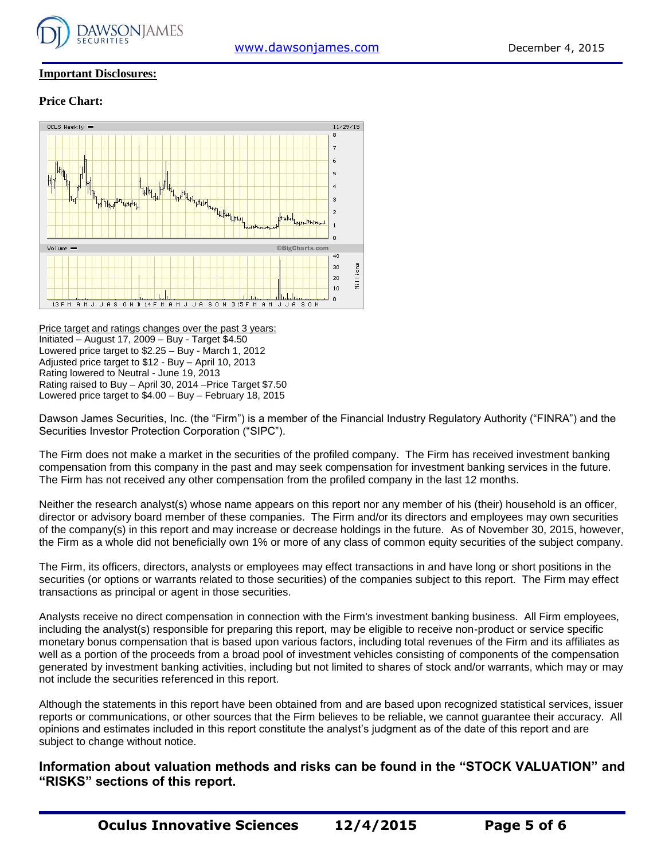

#### **Important Disclosures:**

#### **Price Chart:**



Price target and ratings changes over the past 3 years: Initiated – August 17, 2009 – Buy - Target \$4.50 Lowered price target to \$2.25 – Buy - March 1, 2012 Adjusted price target to \$12 - Buy – April 10, 2013 Rating lowered to Neutral - June 19, 2013 Rating raised to Buy – April 30, 2014 –Price Target \$7.50 Lowered price target to \$4.00 – Buy – February 18, 2015

Dawson James Securities, Inc. (the "Firm") is a member of the Financial Industry Regulatory Authority ("FINRA") and the Securities Investor Protection Corporation ("SIPC").

The Firm does not make a market in the securities of the profiled company. The Firm has received investment banking compensation from this company in the past and may seek compensation for investment banking services in the future. The Firm has not received any other compensation from the profiled company in the last 12 months.

Neither the research analyst(s) whose name appears on this report nor any member of his (their) household is an officer, director or advisory board member of these companies. The Firm and/or its directors and employees may own securities of the company(s) in this report and may increase or decrease holdings in the future. As of November 30, 2015, however, the Firm as a whole did not beneficially own 1% or more of any class of common equity securities of the subject company.

The Firm, its officers, directors, analysts or employees may effect transactions in and have long or short positions in the securities (or options or warrants related to those securities) of the companies subject to this report. The Firm may effect transactions as principal or agent in those securities.

Analysts receive no direct compensation in connection with the Firm's investment banking business. All Firm employees, including the analyst(s) responsible for preparing this report, may be eligible to receive non-product or service specific monetary bonus compensation that is based upon various factors, including total revenues of the Firm and its affiliates as well as a portion of the proceeds from a broad pool of investment vehicles consisting of components of the compensation generated by investment banking activities, including but not limited to shares of stock and/or warrants, which may or may not include the securities referenced in this report.

Although the statements in this report have been obtained from and are based upon recognized statistical services, issuer reports or communications, or other sources that the Firm believes to be reliable, we cannot guarantee their accuracy. All opinions and estimates included in this report constitute the analyst's judgment as of the date of this report and are subject to change without notice.

**Information about valuation methods and risks can be found in the "STOCK VALUATION" and "RISKS" sections of this report.**